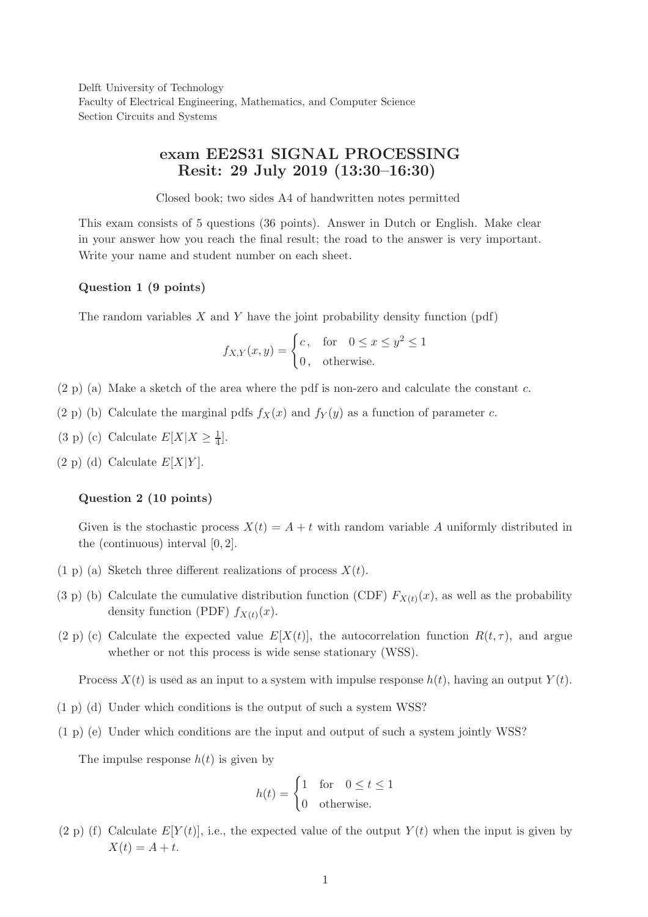Delft University of Technology Faculty of Electrical Engineering, Mathematics, and Computer Science Section Circuits and Systems

# exam EE2S31 SIGNAL PROCESSING Resit: 29 July 2019 (13:30–16:30)

Closed book; two sides A4 of handwritten notes permitted

This exam consists of 5 questions (36 points). Answer in Dutch or English. Make clear in your answer how you reach the final result; the road to the answer is very important. Write your name and student number on each sheet.

#### Question 1 (9 points)

The random variables  $X$  and  $Y$  have the joint probability density function (pdf)

$$
f_{X,Y}(x,y) = \begin{cases} c, & \text{for} \quad 0 \le x \le y^2 \le 1 \\ 0, & \text{otherwise.} \end{cases}
$$

- $(2 \text{ p})$  (a) Make a sketch of the area where the pdf is non-zero and calculate the constant c.
- (2 p) (b) Calculate the marginal pdfs  $f_X(x)$  and  $f_Y(y)$  as a function of parameter c.
- (3 p) (c) Calculate  $E[X|X \ge \frac{1}{4}]$ .
- $(2 \text{ p})$  (d) Calculate  $E[X|Y]$ .

### Question 2 (10 points)

Given is the stochastic process  $X(t) = A + t$  with random variable A uniformly distributed in the (continuous) interval [0, 2].

- (1 p) (a) Sketch three different realizations of process  $X(t)$ .
- (3 p) (b) Calculate the cumulative distribution function (CDF)  $F_{X(t)}(x)$ , as well as the probability density function (PDF)  $f_{X(t)}(x)$ .
- (2 p) (c) Calculate the expected value  $E[X(t)]$ , the autocorrelation function  $R(t, \tau)$ , and argue whether or not this process is wide sense stationary (WSS).

Process  $X(t)$  is used as an input to a system with impulse response  $h(t)$ , having an output  $Y(t)$ .

- (1 p) (d) Under which conditions is the output of such a system WSS?
- (1 p) (e) Under which conditions are the input and output of such a system jointly WSS?

The impulse response  $h(t)$  is given by

$$
h(t) = \begin{cases} 1 & \text{for} \quad 0 \le t \le 1 \\ 0 & \text{otherwise.} \end{cases}
$$

(2 p) (f) Calculate  $E[Y(t)]$ , i.e., the expected value of the output  $Y(t)$  when the input is given by  $X(t) = A + t.$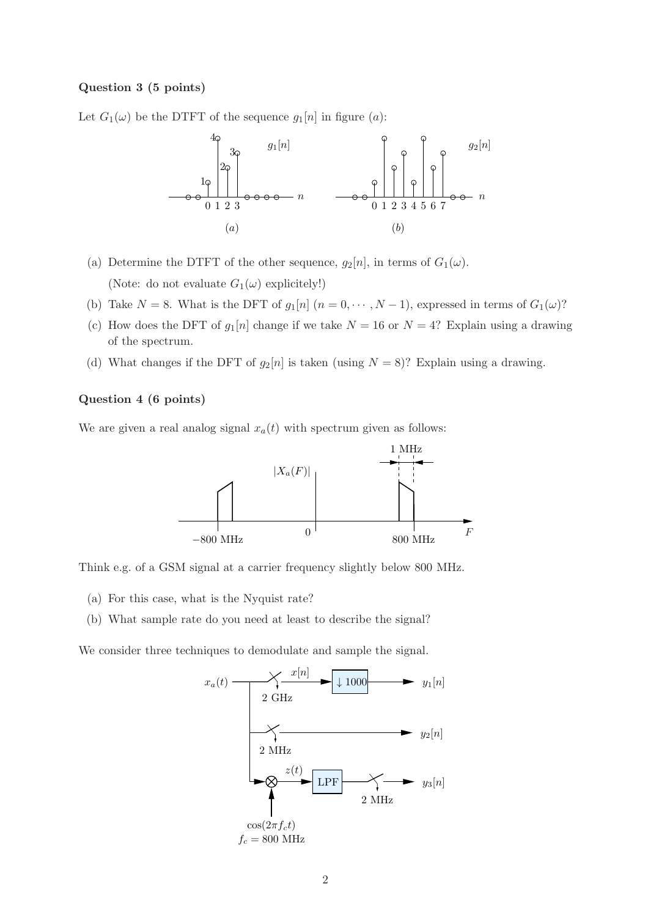#### Question 3 (5 points)

Let  $G_1(\omega)$  be the DTFT of the sequence  $g_1[n]$  in figure  $(a)$ :



- (a) Determine the DTFT of the other sequence,  $g_2[n]$ , in terms of  $G_1(\omega)$ . (Note: do not evaluate  $G_1(\omega)$  explicitely!)
- (b) Take  $N = 8$ . What is the DFT of  $g_1[n]$   $(n = 0, \dots, N-1)$ , expressed in terms of  $G_1(\omega)$ ?
- (c) How does the DFT of  $g_1[n]$  change if we take  $N = 16$  or  $N = 4$ ? Explain using a drawing of the spectrum.
- (d) What changes if the DFT of  $g_2[n]$  is taken (using  $N = 8$ )? Explain using a drawing.

## Question 4 (6 points)

We are given a real analog signal  $x_a(t)$  with spectrum given as follows:



Think e.g. of a GSM signal at a carrier frequency slightly below 800 MHz.

- (a) For this case, what is the Nyquist rate?
- (b) What sample rate do you need at least to describe the signal?

We consider three techniques to demodulate and sample the signal.